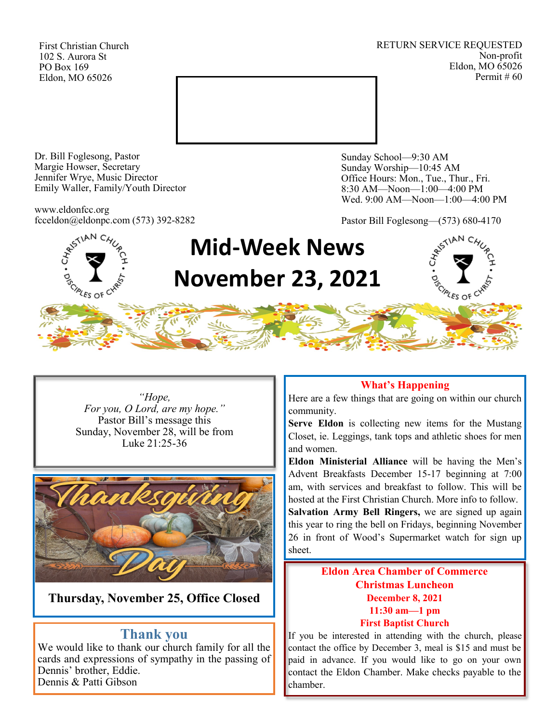First Christian Church 102 S. Aurora St PO Box 169 Eldon, MO 65026

RETURN SERVICE REQUESTED Non-profit Eldon, MO 65026 Permit # 60



Dr. Bill Foglesong, Pastor Margie Howser, Secretary Jennifer Wrye, Music Director Emily Waller, Family/Youth Director

www.eldonfcc.org fcceldon@eldonpc.com (573) 392-8282

**SCIPLES OF CT** 

Sunday School—9:30 AM Sunday Worship—10:45 AM Office Hours: Mon., Tue., Thur., Fri. 8:30 AM—Noon—1:00—4:00 PM Wed. 9:00 AM—Noon—1:00—4:00 PM

Pastor Bill Foglesong—(573) 680-4170





*"Hope, For you, O Lord, are my hope."* Pastor Bill's message this Sunday, November 28, will be from Luke 21:25-36



**Thursday, November 25, Office Closed**

## **Thank you**

We would like to thank our church family for all the cards and expressions of sympathy in the passing of Dennis' brother, Eddie. Dennis & Patti Gibson

### **What's Happening**

Here are a few things that are going on within our church community.

**Serve Eldon** is collecting new items for the Mustang Closet, ie. Leggings, tank tops and athletic shoes for men and women.

**Eldon Ministerial Alliance** will be having the Men's Advent Breakfasts December 15-17 beginning at 7:00 am, with services and breakfast to follow. This will be hosted at the First Christian Church. More info to follow. **Salvation Army Bell Ringers,** we are signed up again this year to ring the bell on Fridays, beginning November 26 in front of Wood's Supermarket watch for sign up sheet.

### **Eldon Area Chamber of Commerce Christmas Luncheon December 8, 2021 11:30 am—1 pm First Baptist Church**

If you be interested in attending with the church, please contact the office by December 3, meal is \$15 and must be paid in advance. If you would like to go on your own contact the Eldon Chamber. Make checks payable to the chamber.